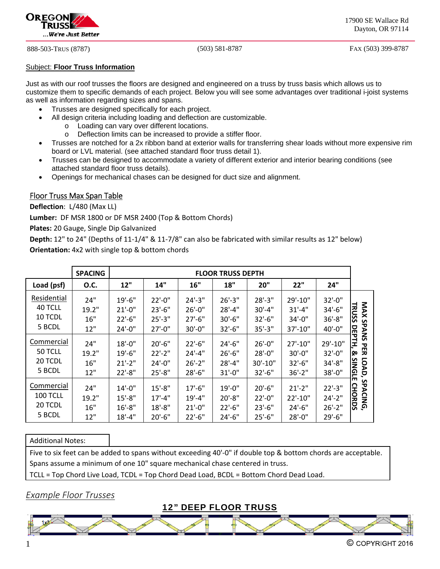

888-503-TRUS (8787) (503) 581-8787 FAX (503) 399-8787

#### Subject: **Floor Truss Information**

Just as with our roof trusses the floors are designed and engineered on a truss by truss basis which allows us to customize them to specific demands of each project. Below you will see some advantages over traditional i-joist systems as well as information regarding sizes and spans.

- Trusses are designed specifically for each project.
	- All design criteria including loading and deflection are customizable.
		- o Loading can vary over different locations.
		- o Deflection limits can be increased to provide a stiffer floor.
- Trusses are notched for a 2x ribbon band at exterior walls for transferring shear loads without more expensive rim board or LVL material. (see attached standard floor truss detail 1).
- Trusses can be designed to accommodate a variety of different exterior and interior bearing conditions (see attached standard floor truss details).
- Openings for mechanical chases can be designed for duct size and alignment.

### Floor Truss Max Span Table

**Deflection**: L/480 (Max LL)

**Lumber:** DF MSR 1800 or DF MSR 2400 (Top & Bottom Chords)

**Plates:** 20 Gauge, Single Dip Galvanized

**Depth:** 12" to 24" (Depths of 11‐1/4" & 11‐7/8" can also be fabricated with similar results as 12" below) **Orientation:** 4x2 with single top & bottom chords

|                                             | <b>SPACING</b>             | <b>FLOOR TRUSS DEPTH</b>                               |                                                        |                                                        |                                                        |                                                           |                                                   |                                                          |                                                     |
|---------------------------------------------|----------------------------|--------------------------------------------------------|--------------------------------------------------------|--------------------------------------------------------|--------------------------------------------------------|-----------------------------------------------------------|---------------------------------------------------|----------------------------------------------------------|-----------------------------------------------------|
| Load (psf)                                  | <b>O.C.</b>                | 12"                                                    | 14"                                                    | 16"                                                    | <b>18"</b>                                             | 20"                                                       | 22"                                               | 24"                                                      |                                                     |
| Residential<br>40 TCLL<br>10 TCDL<br>5 BCDL | 24"<br>19.2"<br>16"<br>12" | $19' - 6''$<br>$21' - 0''$<br>$22'-6''$<br>$24' - 0''$ | $22' - 0''$<br>$23'-6''$<br>$25' - 3''$<br>$27' - 0''$ | $24'-3''$<br>$26' - 0''$<br>$27' - 6''$<br>$30'-0$ "   | $26' - 3''$<br>$28' - 4''$<br>$30' - 6"$<br>$32'-6''$  | $28' - 3''$<br>$30' - 4"$<br>$32' - 6''$<br>$35' - 3''$   | 29'-10"<br>$31' - 4''$<br>$34' - 0''$<br>37'-10"  | $32' - 0''$<br>$34' - 6''$<br>$36' - 8''$<br>$40' - 0''$ | <b>NAX</b><br><b>TRUSS</b><br><b>SPAN</b><br>모<br>명 |
| Commercial<br>50 TCLL<br>20 TCDL<br>5 BCDL  | 24"<br>19.2"<br>16"<br>12" | $18' - 0''$<br>$19' - 6''$<br>$21'-2$ "<br>$22' - 8''$ | $20'-6''$<br>$22'-2"$<br>$24'-0''$<br>$25' - 8''$      | $22'-6''$<br>$24' - 4''$<br>$26' - 2"$<br>$28'-6''$    | $24'-6''$<br>$26' - 6''$<br>$28' - 4''$<br>$31' - 0''$ | $26' - 0''$<br>$28' - 0''$<br>$30' - 10''$<br>$32' - 6''$ | $27' - 10''$<br>30'-0"<br>$32'-6''$<br>$36' - 2"$ | 29'-10"<br>$32' - 0''$<br>$34' - 8''$<br>$38' - 0''$     | S<br>白<br>᠊ᢦ<br>叧<br>ଢ<br>LOAD,<br>SIN<br>GL        |
| Commercial<br>100 TCLL<br>20 TCDL<br>5 BCDL | 24"<br>19.2"<br>16"<br>12" | $14'-0''$<br>$15' - 8''$<br>$16' - 8''$<br>$18' - 4''$ | $15' - 8''$<br>$17' - 4''$<br>$18' - 8''$<br>$20'-6''$ | $17' - 6''$<br>$19' - 4''$<br>$21' - 0''$<br>$22'-6''$ | $19' - 0''$<br>$20' - 8''$<br>$22' - 6''$<br>$24'-6''$ | $20'-6$ "<br>$22' - 0''$<br>$23' - 6''$<br>$25'-6''$      | $21'-2$ "<br>$22'-10''$<br>$24'-6''$<br>28'-0"    | $22'-3''$<br>$24'-2"$<br>$26' - 2"$<br>$29' - 6''$       | ш<br>S<br>᠊ᢦ<br>오<br><b>ACING,</b><br><b>ORDS</b>   |

#### Additional Notes:

Five to six feet can be added to spans without exceeding 40'-0" if double top & bottom chords are acceptable. Spans assume a minimum of one 10" square mechanical chase centered in truss.

TCLL = Top Chord Live Load, TCDL = Top Chord Dead Load, BCDL = Bottom Chord Dead Load.

## *Example Floor Trusses*

12" DEEP FLOOR TRUSS

 $\overline{a}$